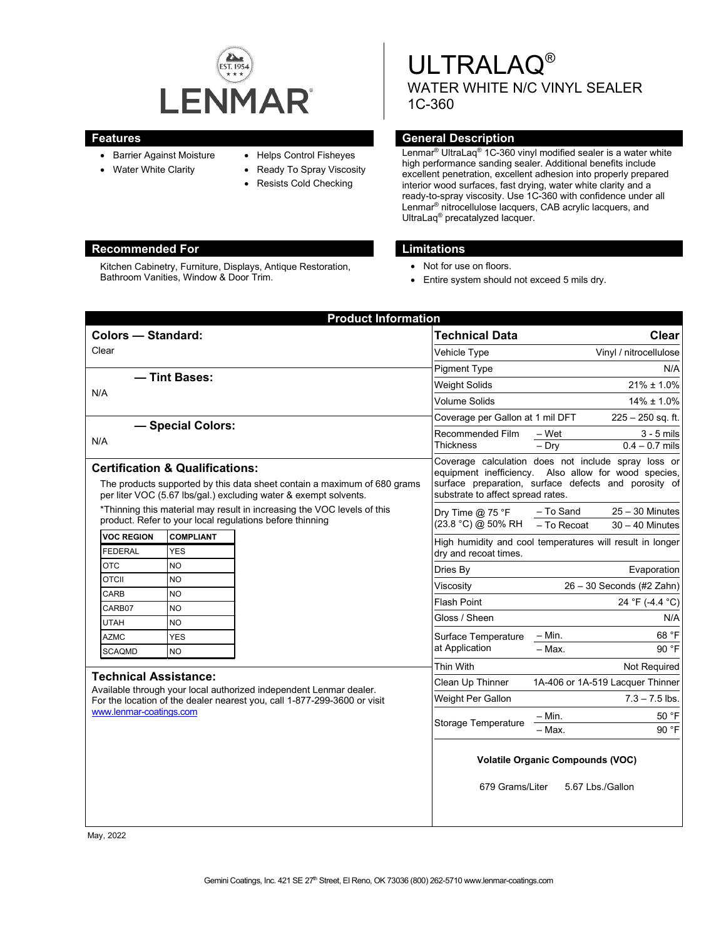

Kitchen Cabinetry, Furniture, Displays, Antique Restoration,

Bathroom Vanities, Window & Door Trim.

- Barrier Against Moisture
- Water White Clarity
- Helps Control Fisheyes
- Ready To Spray Viscosity
	- Resists Cold Checking

ULTRALAQ® WATER WHITE N/C VINYL SEALER 1C-360

#### **Features General Description**

Lenmar® UltraLaq® 1C-360 vinyl modified sealer is a water white high performance sanding sealer. Additional benefits include excellent penetration, excellent adhesion into properly prepared interior wood surfaces, fast drying, water white clarity and a ready-to-spray viscosity. Use 1C-360 with confidence under all Lenmar® nitrocellulose lacquers, CAB acrylic lacquers, and UltraLaq® precatalyzed lacquer.

#### **Recommended For Limitations**

- Not for use on floors.
- Entire system should not exceed 5 mils dry.

| <b>Product Information</b>                                                                                                                                                                                |                                                          |                 |                                                                                                                                                                                                          |                                                                                    |  |
|-----------------------------------------------------------------------------------------------------------------------------------------------------------------------------------------------------------|----------------------------------------------------------|-----------------|----------------------------------------------------------------------------------------------------------------------------------------------------------------------------------------------------------|------------------------------------------------------------------------------------|--|
| <b>Colors - Standard:</b>                                                                                                                                                                                 |                                                          |                 | <b>Technical Data</b>                                                                                                                                                                                    | <b>Clear</b>                                                                       |  |
| Clear                                                                                                                                                                                                     |                                                          |                 | Vehicle Type                                                                                                                                                                                             | Vinyl / nitrocellulose                                                             |  |
|                                                                                                                                                                                                           |                                                          |                 | <b>Pigment Type</b>                                                                                                                                                                                      | N/A                                                                                |  |
| - Tint Bases:<br>N/A                                                                                                                                                                                      |                                                          |                 | <b>Weight Solids</b>                                                                                                                                                                                     | $21\% \pm 1.0\%$                                                                   |  |
|                                                                                                                                                                                                           |                                                          |                 | Volume Solids                                                                                                                                                                                            | $14\% \pm 1.0\%$                                                                   |  |
|                                                                                                                                                                                                           |                                                          |                 | Coverage per Gallon at 1 mil DFT                                                                                                                                                                         | $225 - 250$ sq. ft.                                                                |  |
| - Special Colors:                                                                                                                                                                                         |                                                          |                 | Recommended Film                                                                                                                                                                                         | $3 - 5$ mils<br>– Wet                                                              |  |
| N/A                                                                                                                                                                                                       |                                                          |                 | Thickness                                                                                                                                                                                                | $0.4 - 0.7$ mils<br>$-$ Dry                                                        |  |
| <b>Certification &amp; Qualifications:</b><br>The products supported by this data sheet contain a maximum of 680 grams<br>per liter VOC (5.67 lbs/gal.) excluding water & exempt solvents.                |                                                          |                 | Coverage calculation does not include spray loss or<br>equipment inefficiency. Also allow for wood species,<br>surface preparation, surface defects and porosity of<br>substrate to affect spread rates. |                                                                                    |  |
| *Thinning this material may result in increasing the VOC levels of this                                                                                                                                   |                                                          |                 | Dry Time $@$ 75 °F                                                                                                                                                                                       | $25 - 30$ Minutes<br>- To Sand                                                     |  |
|                                                                                                                                                                                                           | product. Refer to your local regulations before thinning |                 | (23.8 °C) @ 50% RH                                                                                                                                                                                       | - To Recoat<br>$30 - 40$ Minutes                                                   |  |
| <b>VOC REGION</b><br><b>FEDERAL</b>                                                                                                                                                                       | <b>COMPLIANT</b><br><b>YES</b>                           |                 |                                                                                                                                                                                                          | High humidity and cool temperatures will result in longer<br>dry and recoat times. |  |
| <b>OTC</b>                                                                                                                                                                                                | NO                                                       |                 | Dries By                                                                                                                                                                                                 | Evaporation                                                                        |  |
| <b>OTCII</b>                                                                                                                                                                                              | <b>NO</b>                                                |                 | Viscosity                                                                                                                                                                                                | 26 - 30 Seconds (#2 Zahn)                                                          |  |
| <b>CARB</b>                                                                                                                                                                                               | <b>NO</b>                                                |                 | <b>Flash Point</b>                                                                                                                                                                                       | 24 °F (-4.4 °C)                                                                    |  |
| CARB07<br><b>UTAH</b>                                                                                                                                                                                     | <b>NO</b><br><b>NO</b>                                   |                 | Gloss / Sheen                                                                                                                                                                                            | N/A                                                                                |  |
| <b>AZMC</b>                                                                                                                                                                                               | <b>YES</b>                                               |                 | Surface Temperature                                                                                                                                                                                      | $-$ Min.<br>68 °F                                                                  |  |
| <b>SCAQMD</b>                                                                                                                                                                                             | <b>NO</b>                                                | at Application  |                                                                                                                                                                                                          | $-$ Max.<br>90 °F                                                                  |  |
|                                                                                                                                                                                                           |                                                          |                 | Thin With                                                                                                                                                                                                | Not Required                                                                       |  |
| <b>Technical Assistance:</b><br>Available through your local authorized independent Lenmar dealer.<br>For the location of the dealer nearest you, call 1-877-299-3600 or visit<br>www.lenmar-coatings.com |                                                          |                 | Clean Up Thinner                                                                                                                                                                                         | 1A-406 or 1A-519 Lacquer Thinner                                                   |  |
|                                                                                                                                                                                                           |                                                          |                 | Weight Per Gallon                                                                                                                                                                                        | $7.3 - 7.5$ lbs.                                                                   |  |
|                                                                                                                                                                                                           |                                                          |                 | <b>Storage Temperature</b>                                                                                                                                                                               | $-$ Min.<br>50 °F                                                                  |  |
|                                                                                                                                                                                                           |                                                          | 90 °F<br>- Max. |                                                                                                                                                                                                          |                                                                                    |  |
|                                                                                                                                                                                                           |                                                          |                 | <b>Volatile Organic Compounds (VOC)</b><br>679 Grams/Liter<br>5.67 Lbs./Gallon                                                                                                                           |                                                                                    |  |

May, 2022